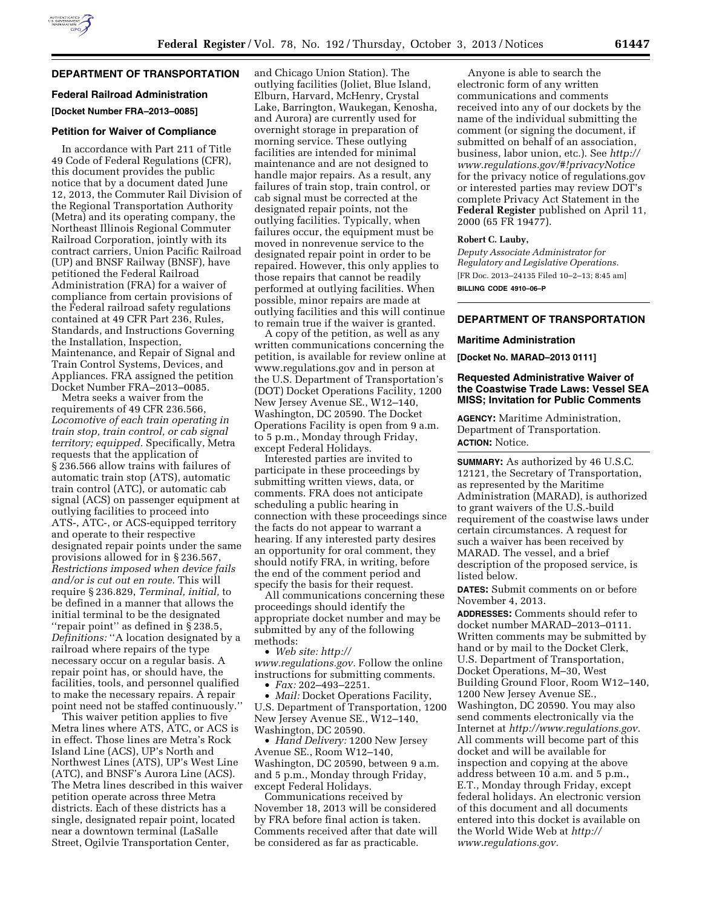# **DEPARTMENT OF TRANSPORTATION**

### **Federal Railroad Administration**

**[Docket Number FRA–2013–0085]** 

#### **Petition for Waiver of Compliance**

In accordance with Part 211 of Title 49 Code of Federal Regulations (CFR), this document provides the public notice that by a document dated June 12, 2013, the Commuter Rail Division of the Regional Transportation Authority (Metra) and its operating company, the Northeast Illinois Regional Commuter Railroad Corporation, jointly with its contract carriers, Union Pacific Railroad (UP) and BNSF Railway (BNSF), have petitioned the Federal Railroad Administration (FRA) for a waiver of compliance from certain provisions of the Federal railroad safety regulations contained at 49 CFR Part 236, Rules, Standards, and Instructions Governing the Installation, Inspection, Maintenance, and Repair of Signal and Train Control Systems, Devices, and Appliances. FRA assigned the petition Docket Number FRA–2013–0085.

Metra seeks a waiver from the requirements of 49 CFR 236.566, *Locomotive of each train operating in train stop, train control, or cab signal territory; equipped.* Specifically, Metra requests that the application of § 236.566 allow trains with failures of automatic train stop (ATS), automatic train control (ATC), or automatic cab signal (ACS) on passenger equipment at outlying facilities to proceed into ATS-, ATC-, or ACS-equipped territory and operate to their respective designated repair points under the same provisions allowed for in § 236.567, *Restrictions imposed when device fails and/or is cut out en route.* This will require § 236.829, *Terminal, initial,* to be defined in a manner that allows the initial terminal to be the designated ''repair point'' as defined in § 238.5, *Definitions:* ''A location designated by a railroad where repairs of the type necessary occur on a regular basis. A repair point has, or should have, the facilities, tools, and personnel qualified to make the necessary repairs. A repair point need not be staffed continuously.''

This waiver petition applies to five Metra lines where ATS, ATC, or ACS is in effect. Those lines are Metra's Rock Island Line (ACS), UP's North and Northwest Lines (ATS), UP's West Line (ATC), and BNSF's Aurora Line (ACS). The Metra lines described in this waiver petition operate across three Metra districts. Each of these districts has a single, designated repair point, located near a downtown terminal (LaSalle Street, Ogilvie Transportation Center,

and Chicago Union Station). The outlying facilities (Joliet, Blue Island, Elburn, Harvard, McHenry, Crystal Lake, Barrington, Waukegan, Kenosha, and Aurora) are currently used for overnight storage in preparation of morning service. These outlying facilities are intended for minimal maintenance and are not designed to handle major repairs. As a result, any failures of train stop, train control, or cab signal must be corrected at the designated repair points, not the outlying facilities. Typically, when failures occur, the equipment must be moved in nonrevenue service to the designated repair point in order to be repaired. However, this only applies to those repairs that cannot be readily performed at outlying facilities. When possible, minor repairs are made at outlying facilities and this will continue to remain true if the waiver is granted.

A copy of the petition, as well as any written communications concerning the petition, is available for review online at [www.regulations.gov](http://www.regulations.gov) and in person at the U.S. Department of Transportation's (DOT) Docket Operations Facility, 1200 New Jersey Avenue SE., W12–140, Washington, DC 20590. The Docket Operations Facility is open from 9 a.m. to 5 p.m., Monday through Friday, except Federal Holidays.

Interested parties are invited to participate in these proceedings by submitting written views, data, or comments. FRA does not anticipate scheduling a public hearing in connection with these proceedings since the facts do not appear to warrant a hearing. If any interested party desires an opportunity for oral comment, they should notify FRA, in writing, before the end of the comment period and specify the basis for their request.

All communications concerning these proceedings should identify the appropriate docket number and may be submitted by any of the following methods:

• *Web site: [http://](http://www.regulations.gov)*

*[www.regulations.gov.](http://www.regulations.gov)* Follow the online instructions for submitting comments. • *Fax:* 202–493–2251.

• *Mail:* Docket Operations Facility, U.S. Department of Transportation, 1200 New Jersey Avenue SE., W12–140, Washington, DC 20590.

• *Hand Delivery:* 1200 New Jersey Avenue SE., Room W12–140, Washington, DC 20590, between 9 a.m. and 5 p.m., Monday through Friday, except Federal Holidays.

Communications received by November 18, 2013 will be considered by FRA before final action is taken. Comments received after that date will be considered as far as practicable.

Anyone is able to search the electronic form of any written communications and comments received into any of our dockets by the name of the individual submitting the comment (or signing the document, if submitted on behalf of an association, business, labor union, etc.). See *[http://](http://www.regulations.gov/#!privacyNotice) [www.regulations.gov/#!privacyNotice](http://www.regulations.gov/#!privacyNotice)*  for the privacy notice of regulations.gov or interested parties may review DOT's complete Privacy Act Statement in the **Federal Register** published on April 11, 2000 (65 FR 19477).

#### **Robert C. Lauby,**

*Deputy Associate Administrator for Regulatory and Legislative Operations.*  [FR Doc. 2013–24135 Filed 10–2–13; 8:45 am] **BILLING CODE 4910–06–P** 

# **DEPARTMENT OF TRANSPORTATION**

#### **Maritime Administration**

**[Docket No. MARAD–2013 0111]** 

#### **Requested Administrative Waiver of the Coastwise Trade Laws: Vessel SEA MISS; Invitation for Public Comments**

**AGENCY:** Maritime Administration, Department of Transportation. **ACTION:** Notice.

**SUMMARY:** As authorized by 46 U.S.C. 12121, the Secretary of Transportation, as represented by the Maritime Administration (MARAD), is authorized to grant waivers of the U.S.-build requirement of the coastwise laws under certain circumstances. A request for such a waiver has been received by MARAD. The vessel, and a brief description of the proposed service, is listed below.

**DATES:** Submit comments on or before November 4, 2013.

**ADDRESSES:** Comments should refer to docket number MARAD–2013–0111. Written comments may be submitted by hand or by mail to the Docket Clerk, U.S. Department of Transportation, Docket Operations, M–30, West Building Ground Floor, Room W12–140, 1200 New Jersey Avenue SE., Washington, DC 20590. You may also send comments electronically via the Internet at *[http://www.regulations.gov.](http://www.regulations.gov)*  All comments will become part of this docket and will be available for inspection and copying at the above address between 10 a.m. and 5 p.m., E.T., Monday through Friday, except federal holidays. An electronic version of this document and all documents entered into this docket is available on the World Wide Web at *[http://](http://www.regulations.gov) [www.regulations.gov.](http://www.regulations.gov)*